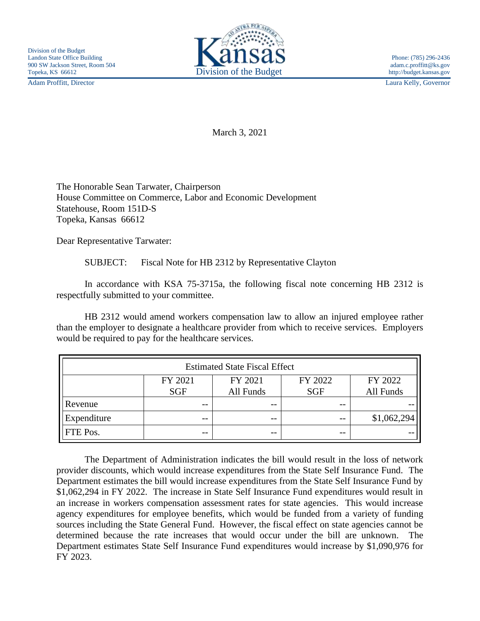Adam Proffitt, Director Laura Kelly, Governor



March 3, 2021

The Honorable Sean Tarwater, Chairperson House Committee on Commerce, Labor and Economic Development Statehouse, Room 151D-S Topeka, Kansas 66612

Dear Representative Tarwater:

SUBJECT: Fiscal Note for HB 2312 by Representative Clayton

In accordance with KSA 75-3715a, the following fiscal note concerning HB 2312 is respectfully submitted to your committee.

HB 2312 would amend workers compensation law to allow an injured employee rather than the employer to designate a healthcare provider from which to receive services. Employers would be required to pay for the healthcare services.

| <b>Estimated State Fiscal Effect</b> |                       |                      |                       |                      |
|--------------------------------------|-----------------------|----------------------|-----------------------|----------------------|
|                                      | FY 2021<br><b>SGF</b> | FY 2021<br>All Funds | FY 2022<br><b>SGF</b> | FY 2022<br>All Funds |
| Revenue                              | $- -$                 | --                   | $- -$                 |                      |
| Expenditure                          | --                    | --                   | $- -$                 | \$1,062,294          |
| FTE Pos.                             | $- -$                 | --                   | $- -$                 |                      |

The Department of Administration indicates the bill would result in the loss of network provider discounts, which would increase expenditures from the State Self Insurance Fund. The Department estimates the bill would increase expenditures from the State Self Insurance Fund by \$1,062,294 in FY 2022. The increase in State Self Insurance Fund expenditures would result in an increase in workers compensation assessment rates for state agencies. This would increase agency expenditures for employee benefits, which would be funded from a variety of funding sources including the State General Fund. However, the fiscal effect on state agencies cannot be determined because the rate increases that would occur under the bill are unknown. The Department estimates State Self Insurance Fund expenditures would increase by \$1,090,976 for FY 2023.